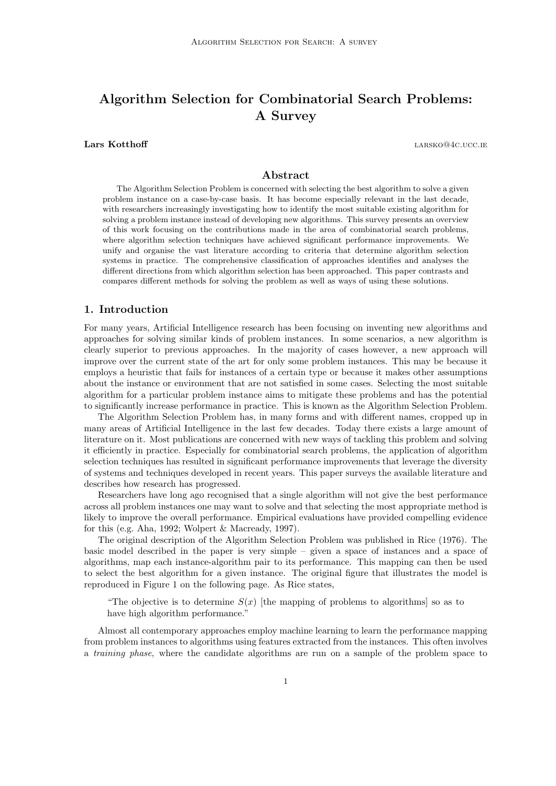# **Algorithm Selection for Combinatorial Search Problems: A Survey**

**Lars Kotthoff larses in the large state of the large state of the large state of the large state of the large state of the large state of the large state of the large state of the large state of the large state of the l** 

## **Abstract**

The Algorithm Selection Problem is concerned with selecting the best algorithm to solve a given problem instance on a case-by-case basis. It has become especially relevant in the last decade, with researchers increasingly investigating how to identify the most suitable existing algorithm for solving a problem instance instead of developing new algorithms. This survey presents an overview of this work focusing on the contributions made in the area of combinatorial search problems, where algorithm selection techniques have achieved significant performance improvements. We unify and organise the vast literature according to criteria that determine algorithm selection systems in practice. The comprehensive classification of approaches identifies and analyses the different directions from which algorithm selection has been approached. This paper contrasts and compares different methods for solving the problem as well as ways of using these solutions.

## **1. Introduction**

For many years, Artificial Intelligence research has been focusing on inventing new algorithms and approaches for solving similar kinds of problem instances. In some scenarios, a new algorithm is clearly superior to previous approaches. In the majority of cases however, a new approach will improve over the current state of the art for only some problem instances. This may be because it employs a heuristic that fails for instances of a certain type or because it makes other assumptions about the instance or environment that are not satisfied in some cases. Selecting the most suitable algorithm for a particular problem instance aims to mitigate these problems and has the potential to significantly increase performance in practice. This is known as the Algorithm Selection Problem.

The Algorithm Selection Problem has, in many forms and with different names, cropped up in many areas of Artificial Intelligence in the last few decades. Today there exists a large amount of literature on it. Most publications are concerned with new ways of tackling this problem and solving it efficiently in practice. Especially for combinatorial search problems, the application of algorithm selection techniques has resulted in significant performance improvements that leverage the diversity of systems and techniques developed in recent years. This paper surveys the available literature and describes how research has progressed.

Researchers have long ago recognised that a single algorithm will not give the best performance across all problem instances one may want to solve and that selecting the most appropriate method is likely to improve the overall performance. Empirical evaluations have provided compelling evidence for this (e.g. Aha, 1992; Wolpert & Macready, 1997).

The original description of the Algorithm Selection Problem was published in Rice (1976). The basic model described in the paper is very simple – given a space of instances and a space of algorithms, map each instance-algorithm pair to its performance. This mapping can then be used to select the best algorithm for a given instance. The original figure that illustrates the model is reproduced in Figure 1 on the following page. As Rice states,

"The objective is to determine  $S(x)$  [the mapping of problems to algorithms] so as to have high algorithm performance."

Almost all contemporary approaches employ machine learning to learn the performance mapping from problem instances to algorithms using features extracted from the instances. This often involves a *training phase*, where the candidate algorithms are run on a sample of the problem space to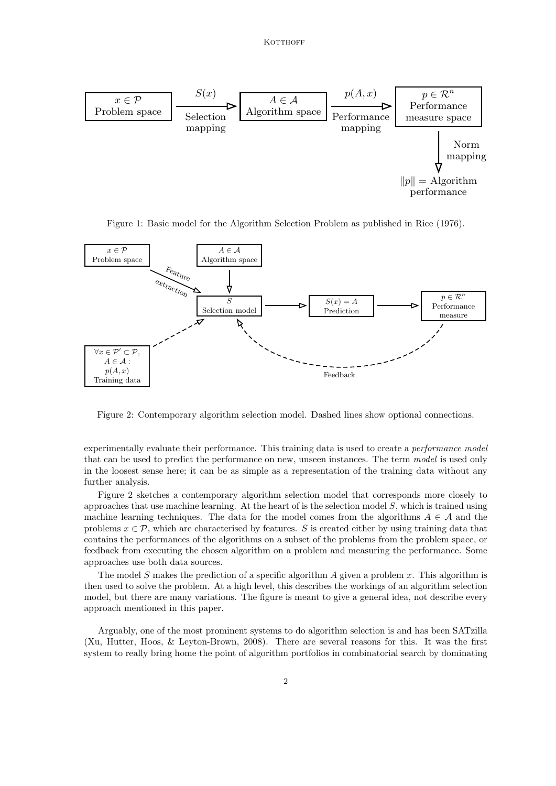

Figure 1: Basic model for the Algorithm Selection Problem as published in Rice (1976).



Figure 2: Contemporary algorithm selection model. Dashed lines show optional connections.

experimentally evaluate their performance. This training data is used to create a *performance model* that can be used to predict the performance on new, unseen instances. The term *model* is used only in the loosest sense here; it can be as simple as a representation of the training data without any further analysis.

Figure 2 sketches a contemporary algorithm selection model that corresponds more closely to approaches that use machine learning. At the heart of is the selection model *S*, which is trained using machine learning techniques. The data for the model comes from the algorithms  $A \in \mathcal{A}$  and the problems  $x \in \mathcal{P}$ , which are characterised by features. *S* is created either by using training data that contains the performances of the algorithms on a subset of the problems from the problem space, or feedback from executing the chosen algorithm on a problem and measuring the performance. Some approaches use both data sources.

The model *S* makes the prediction of a specific algorithm *A* given a problem *x*. This algorithm is then used to solve the problem. At a high level, this describes the workings of an algorithm selection model, but there are many variations. The figure is meant to give a general idea, not describe every approach mentioned in this paper.

Arguably, one of the most prominent systems to do algorithm selection is and has been SATzilla (Xu, Hutter, Hoos, & Leyton-Brown, 2008). There are several reasons for this. It was the first system to really bring home the point of algorithm portfolios in combinatorial search by dominating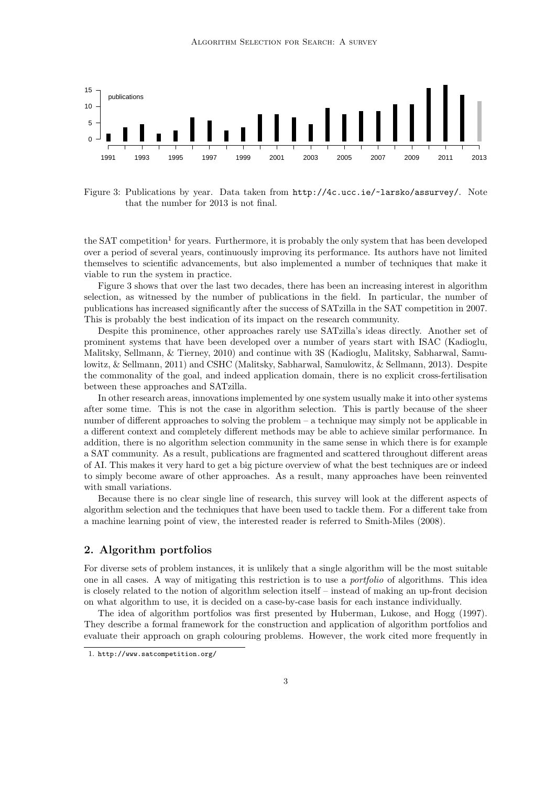

Figure 3: Publications by year. Data taken from http://4c.ucc.ie/~larsko/assurvey/. Note that the number for 2013 is not final.

the SAT competition<sup>1</sup> for years. Furthermore, it is probably the only system that has been developed over a period of several years, continuously improving its performance. Its authors have not limited themselves to scientific advancements, but also implemented a number of techniques that make it viable to run the system in practice.

Figure 3 shows that over the last two decades, there has been an increasing interest in algorithm selection, as witnessed by the number of publications in the field. In particular, the number of publications has increased significantly after the success of SATzilla in the SAT competition in 2007. This is probably the best indication of its impact on the research community.

Despite this prominence, other approaches rarely use SATzilla's ideas directly. Another set of prominent systems that have been developed over a number of years start with ISAC (Kadioglu, Malitsky, Sellmann, & Tierney, 2010) and continue with 3S (Kadioglu, Malitsky, Sabharwal, Samulowitz, & Sellmann, 2011) and CSHC (Malitsky, Sabharwal, Samulowitz, & Sellmann, 2013). Despite the commonality of the goal, and indeed application domain, there is no explicit cross-fertilisation between these approaches and SATzilla.

In other research areas, innovations implemented by one system usually make it into other systems after some time. This is not the case in algorithm selection. This is partly because of the sheer number of different approaches to solving the problem – a technique may simply not be applicable in a different context and completely different methods may be able to achieve similar performance. In addition, there is no algorithm selection community in the same sense in which there is for example a SAT community. As a result, publications are fragmented and scattered throughout different areas of AI. This makes it very hard to get a big picture overview of what the best techniques are or indeed to simply become aware of other approaches. As a result, many approaches have been reinvented with small variations.

Because there is no clear single line of research, this survey will look at the different aspects of algorithm selection and the techniques that have been used to tackle them. For a different take from a machine learning point of view, the interested reader is referred to Smith-Miles (2008).

## **2. Algorithm portfolios**

For diverse sets of problem instances, it is unlikely that a single algorithm will be the most suitable one in all cases. A way of mitigating this restriction is to use a *portfolio* of algorithms. This idea is closely related to the notion of algorithm selection itself – instead of making an up-front decision on what algorithm to use, it is decided on a case-by-case basis for each instance individually.

The idea of algorithm portfolios was first presented by Huberman, Lukose, and Hogg (1997). They describe a formal framework for the construction and application of algorithm portfolios and evaluate their approach on graph colouring problems. However, the work cited more frequently in

<sup>1.</sup> http://www.satcompetition.org/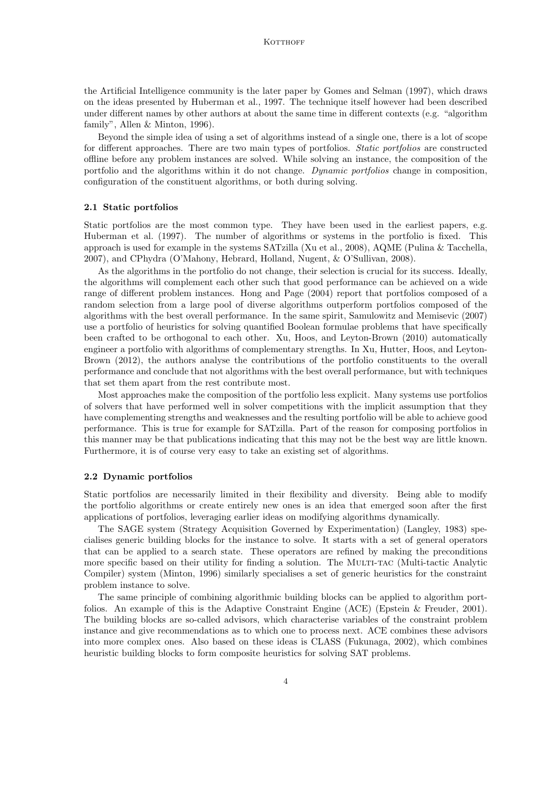#### Коттноғғ

the Artificial Intelligence community is the later paper by Gomes and Selman (1997), which draws on the ideas presented by Huberman et al., 1997. The technique itself however had been described under different names by other authors at about the same time in different contexts (e.g. "algorithm family", Allen & Minton, 1996).

Beyond the simple idea of using a set of algorithms instead of a single one, there is a lot of scope for different approaches. There are two main types of portfolios. *Static portfolios* are constructed offline before any problem instances are solved. While solving an instance, the composition of the portfolio and the algorithms within it do not change. *Dynamic portfolios* change in composition, configuration of the constituent algorithms, or both during solving.

## **2.1 Static portfolios**

Static portfolios are the most common type. They have been used in the earliest papers, e.g. Huberman et al. (1997). The number of algorithms or systems in the portfolio is fixed. This approach is used for example in the systems SATzilla (Xu et al., 2008), AQME (Pulina & Tacchella, 2007), and CPhydra (O'Mahony, Hebrard, Holland, Nugent, & O'Sullivan, 2008).

As the algorithms in the portfolio do not change, their selection is crucial for its success. Ideally, the algorithms will complement each other such that good performance can be achieved on a wide range of different problem instances. Hong and Page (2004) report that portfolios composed of a random selection from a large pool of diverse algorithms outperform portfolios composed of the algorithms with the best overall performance. In the same spirit, Samulowitz and Memisevic (2007) use a portfolio of heuristics for solving quantified Boolean formulae problems that have specifically been crafted to be orthogonal to each other. Xu, Hoos, and Leyton-Brown (2010) automatically engineer a portfolio with algorithms of complementary strengths. In Xu, Hutter, Hoos, and Leyton-Brown (2012), the authors analyse the contributions of the portfolio constituents to the overall performance and conclude that not algorithms with the best overall performance, but with techniques that set them apart from the rest contribute most.

Most approaches make the composition of the portfolio less explicit. Many systems use portfolios of solvers that have performed well in solver competitions with the implicit assumption that they have complementing strengths and weaknesses and the resulting portfolio will be able to achieve good performance. This is true for example for SATzilla. Part of the reason for composing portfolios in this manner may be that publications indicating that this may not be the best way are little known. Furthermore, it is of course very easy to take an existing set of algorithms.

## **2.2 Dynamic portfolios**

Static portfolios are necessarily limited in their flexibility and diversity. Being able to modify the portfolio algorithms or create entirely new ones is an idea that emerged soon after the first applications of portfolios, leveraging earlier ideas on modifying algorithms dynamically.

The SAGE system (Strategy Acquisition Governed by Experimentation) (Langley, 1983) specialises generic building blocks for the instance to solve. It starts with a set of general operators that can be applied to a search state. These operators are refined by making the preconditions more specific based on their utility for finding a solution. The MULTI-TAC (Multi-tactic Analytic Compiler) system (Minton, 1996) similarly specialises a set of generic heuristics for the constraint problem instance to solve.

The same principle of combining algorithmic building blocks can be applied to algorithm portfolios. An example of this is the Adaptive Constraint Engine (ACE) (Epstein & Freuder, 2001). The building blocks are so-called advisors, which characterise variables of the constraint problem instance and give recommendations as to which one to process next. ACE combines these advisors into more complex ones. Also based on these ideas is CLASS (Fukunaga, 2002), which combines heuristic building blocks to form composite heuristics for solving SAT problems.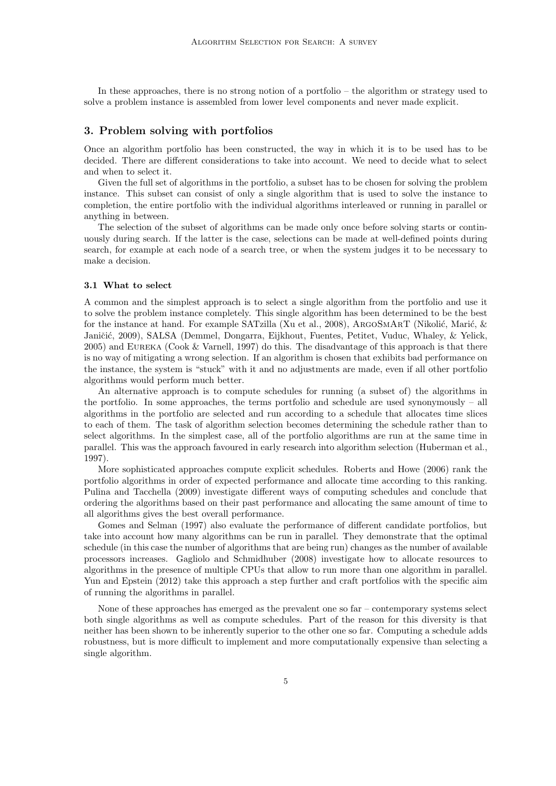In these approaches, there is no strong notion of a portfolio – the algorithm or strategy used to solve a problem instance is assembled from lower level components and never made explicit.

## **3. Problem solving with portfolios**

Once an algorithm portfolio has been constructed, the way in which it is to be used has to be decided. There are different considerations to take into account. We need to decide what to select and when to select it.

Given the full set of algorithms in the portfolio, a subset has to be chosen for solving the problem instance. This subset can consist of only a single algorithm that is used to solve the instance to completion, the entire portfolio with the individual algorithms interleaved or running in parallel or anything in between.

The selection of the subset of algorithms can be made only once before solving starts or continuously during search. If the latter is the case, selections can be made at well-defined points during search, for example at each node of a search tree, or when the system judges it to be necessary to make a decision.

## **3.1 What to select**

A common and the simplest approach is to select a single algorithm from the portfolio and use it to solve the problem instance completely. This single algorithm has been determined to be the best for the instance at hand. For example SATzilla (Xu et al., 2008), ARGOSMART (Nikolić, Marić,  $\&$ Janičić, 2009), SALSA (Demmel, Dongarra, Eijkhout, Fuentes, Petitet, Vuduc, Whaley, & Yelick, 2005) and Eureka (Cook & Varnell, 1997) do this. The disadvantage of this approach is that there is no way of mitigating a wrong selection. If an algorithm is chosen that exhibits bad performance on the instance, the system is "stuck" with it and no adjustments are made, even if all other portfolio algorithms would perform much better.

An alternative approach is to compute schedules for running (a subset of) the algorithms in the portfolio. In some approaches, the terms portfolio and schedule are used synonymously – all algorithms in the portfolio are selected and run according to a schedule that allocates time slices to each of them. The task of algorithm selection becomes determining the schedule rather than to select algorithms. In the simplest case, all of the portfolio algorithms are run at the same time in parallel. This was the approach favoured in early research into algorithm selection (Huberman et al., 1997).

More sophisticated approaches compute explicit schedules. Roberts and Howe (2006) rank the portfolio algorithms in order of expected performance and allocate time according to this ranking. Pulina and Tacchella (2009) investigate different ways of computing schedules and conclude that ordering the algorithms based on their past performance and allocating the same amount of time to all algorithms gives the best overall performance.

Gomes and Selman (1997) also evaluate the performance of different candidate portfolios, but take into account how many algorithms can be run in parallel. They demonstrate that the optimal schedule (in this case the number of algorithms that are being run) changes as the number of available processors increases. Gagliolo and Schmidhuber (2008) investigate how to allocate resources to algorithms in the presence of multiple CPUs that allow to run more than one algorithm in parallel. Yun and Epstein (2012) take this approach a step further and craft portfolios with the specific aim of running the algorithms in parallel.

None of these approaches has emerged as the prevalent one so far – contemporary systems select both single algorithms as well as compute schedules. Part of the reason for this diversity is that neither has been shown to be inherently superior to the other one so far. Computing a schedule adds robustness, but is more difficult to implement and more computationally expensive than selecting a single algorithm.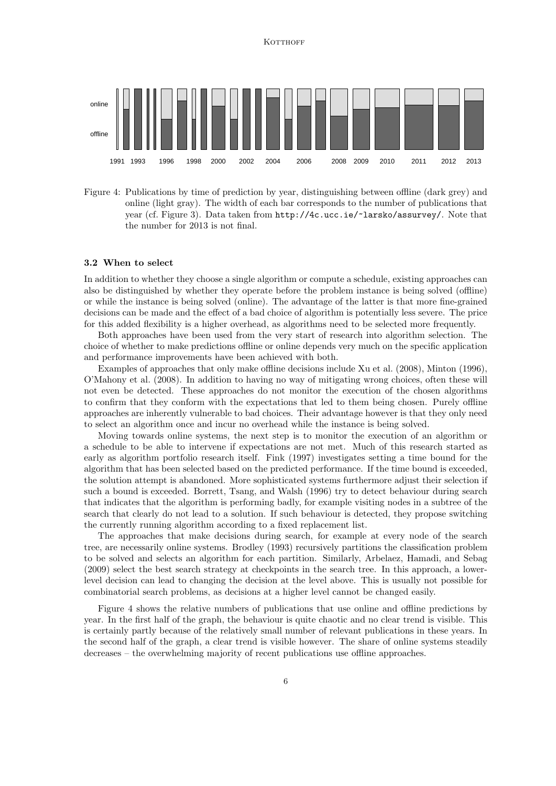

Figure 4: Publications by time of prediction by year, distinguishing between offline (dark grey) and online (light gray). The width of each bar corresponds to the number of publications that year (cf. Figure 3). Data taken from http://4c.ucc.ie/~larsko/assurvey/. Note that the number for 2013 is not final.

## **3.2 When to select**

In addition to whether they choose a single algorithm or compute a schedule, existing approaches can also be distinguished by whether they operate before the problem instance is being solved (offline) or while the instance is being solved (online). The advantage of the latter is that more fine-grained decisions can be made and the effect of a bad choice of algorithm is potentially less severe. The price for this added flexibility is a higher overhead, as algorithms need to be selected more frequently.

Both approaches have been used from the very start of research into algorithm selection. The choice of whether to make predictions offline or online depends very much on the specific application and performance improvements have been achieved with both.

Examples of approaches that only make offline decisions include Xu et al. (2008), Minton (1996), O'Mahony et al. (2008). In addition to having no way of mitigating wrong choices, often these will not even be detected. These approaches do not monitor the execution of the chosen algorithms to confirm that they conform with the expectations that led to them being chosen. Purely offline approaches are inherently vulnerable to bad choices. Their advantage however is that they only need to select an algorithm once and incur no overhead while the instance is being solved.

Moving towards online systems, the next step is to monitor the execution of an algorithm or a schedule to be able to intervene if expectations are not met. Much of this research started as early as algorithm portfolio research itself. Fink (1997) investigates setting a time bound for the algorithm that has been selected based on the predicted performance. If the time bound is exceeded, the solution attempt is abandoned. More sophisticated systems furthermore adjust their selection if such a bound is exceeded. Borrett, Tsang, and Walsh (1996) try to detect behaviour during search that indicates that the algorithm is performing badly, for example visiting nodes in a subtree of the search that clearly do not lead to a solution. If such behaviour is detected, they propose switching the currently running algorithm according to a fixed replacement list.

The approaches that make decisions during search, for example at every node of the search tree, are necessarily online systems. Brodley (1993) recursively partitions the classification problem to be solved and selects an algorithm for each partition. Similarly, Arbelaez, Hamadi, and Sebag (2009) select the best search strategy at checkpoints in the search tree. In this approach, a lowerlevel decision can lead to changing the decision at the level above. This is usually not possible for combinatorial search problems, as decisions at a higher level cannot be changed easily.

Figure 4 shows the relative numbers of publications that use online and offline predictions by year. In the first half of the graph, the behaviour is quite chaotic and no clear trend is visible. This is certainly partly because of the relatively small number of relevant publications in these years. In the second half of the graph, a clear trend is visible however. The share of online systems steadily decreases – the overwhelming majority of recent publications use offline approaches.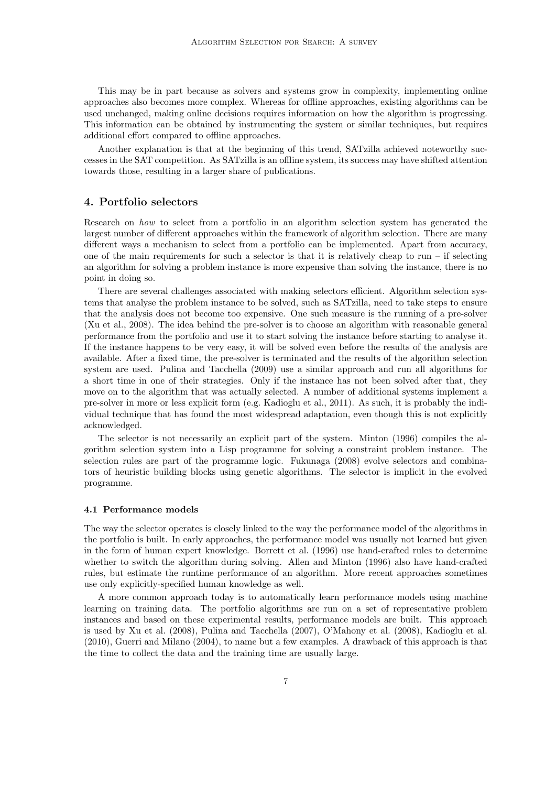This may be in part because as solvers and systems grow in complexity, implementing online approaches also becomes more complex. Whereas for offline approaches, existing algorithms can be used unchanged, making online decisions requires information on how the algorithm is progressing. This information can be obtained by instrumenting the system or similar techniques, but requires additional effort compared to offline approaches.

Another explanation is that at the beginning of this trend, SATzilla achieved noteworthy successes in the SAT competition. As SATzilla is an offline system, its success may have shifted attention towards those, resulting in a larger share of publications.

## **4. Portfolio selectors**

Research on *how* to select from a portfolio in an algorithm selection system has generated the largest number of different approaches within the framework of algorithm selection. There are many different ways a mechanism to select from a portfolio can be implemented. Apart from accuracy, one of the main requirements for such a selector is that it is relatively cheap to run – if selecting an algorithm for solving a problem instance is more expensive than solving the instance, there is no point in doing so.

There are several challenges associated with making selectors efficient. Algorithm selection systems that analyse the problem instance to be solved, such as SATzilla, need to take steps to ensure that the analysis does not become too expensive. One such measure is the running of a pre-solver (Xu et al., 2008). The idea behind the pre-solver is to choose an algorithm with reasonable general performance from the portfolio and use it to start solving the instance before starting to analyse it. If the instance happens to be very easy, it will be solved even before the results of the analysis are available. After a fixed time, the pre-solver is terminated and the results of the algorithm selection system are used. Pulina and Tacchella (2009) use a similar approach and run all algorithms for a short time in one of their strategies. Only if the instance has not been solved after that, they move on to the algorithm that was actually selected. A number of additional systems implement a pre-solver in more or less explicit form (e.g. Kadioglu et al., 2011). As such, it is probably the individual technique that has found the most widespread adaptation, even though this is not explicitly acknowledged.

The selector is not necessarily an explicit part of the system. Minton (1996) compiles the algorithm selection system into a Lisp programme for solving a constraint problem instance. The selection rules are part of the programme logic. Fukunaga (2008) evolve selectors and combinators of heuristic building blocks using genetic algorithms. The selector is implicit in the evolved programme.

#### **4.1 Performance models**

The way the selector operates is closely linked to the way the performance model of the algorithms in the portfolio is built. In early approaches, the performance model was usually not learned but given in the form of human expert knowledge. Borrett et al. (1996) use hand-crafted rules to determine whether to switch the algorithm during solving. Allen and Minton (1996) also have hand-crafted rules, but estimate the runtime performance of an algorithm. More recent approaches sometimes use only explicitly-specified human knowledge as well.

A more common approach today is to automatically learn performance models using machine learning on training data. The portfolio algorithms are run on a set of representative problem instances and based on these experimental results, performance models are built. This approach is used by Xu et al. (2008), Pulina and Tacchella (2007), O'Mahony et al. (2008), Kadioglu et al. (2010), Guerri and Milano (2004), to name but a few examples. A drawback of this approach is that the time to collect the data and the training time are usually large.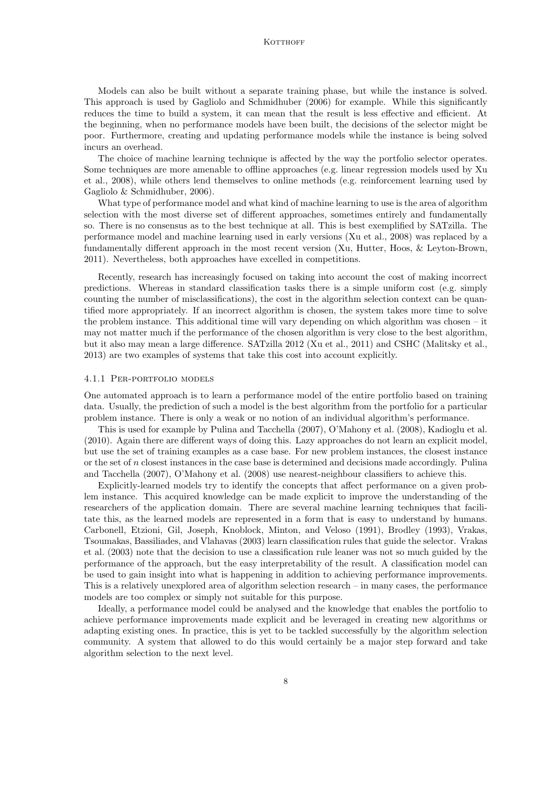#### Коттноғғ

Models can also be built without a separate training phase, but while the instance is solved. This approach is used by Gagliolo and Schmidhuber (2006) for example. While this significantly reduces the time to build a system, it can mean that the result is less effective and efficient. At the beginning, when no performance models have been built, the decisions of the selector might be poor. Furthermore, creating and updating performance models while the instance is being solved incurs an overhead.

The choice of machine learning technique is affected by the way the portfolio selector operates. Some techniques are more amenable to offline approaches (e.g. linear regression models used by Xu et al., 2008), while others lend themselves to online methods (e.g. reinforcement learning used by Gagliolo & Schmidhuber, 2006).

What type of performance model and what kind of machine learning to use is the area of algorithm selection with the most diverse set of different approaches, sometimes entirely and fundamentally so. There is no consensus as to the best technique at all. This is best exemplified by SATzilla. The performance model and machine learning used in early versions (Xu et al., 2008) was replaced by a fundamentally different approach in the most recent version (Xu, Hutter, Hoos, & Leyton-Brown, 2011). Nevertheless, both approaches have excelled in competitions.

Recently, research has increasingly focused on taking into account the cost of making incorrect predictions. Whereas in standard classification tasks there is a simple uniform cost (e.g. simply counting the number of misclassifications), the cost in the algorithm selection context can be quantified more appropriately. If an incorrect algorithm is chosen, the system takes more time to solve the problem instance. This additional time will vary depending on which algorithm was chosen – it may not matter much if the performance of the chosen algorithm is very close to the best algorithm, but it also may mean a large difference. SATzilla 2012 (Xu et al., 2011) and CSHC (Malitsky et al., 2013) are two examples of systems that take this cost into account explicitly.

#### 4.1.1 Per-portfolio models

One automated approach is to learn a performance model of the entire portfolio based on training data. Usually, the prediction of such a model is the best algorithm from the portfolio for a particular problem instance. There is only a weak or no notion of an individual algorithm's performance.

This is used for example by Pulina and Tacchella (2007), O'Mahony et al. (2008), Kadioglu et al. (2010). Again there are different ways of doing this. Lazy approaches do not learn an explicit model, but use the set of training examples as a case base. For new problem instances, the closest instance or the set of *n* closest instances in the case base is determined and decisions made accordingly. Pulina and Tacchella (2007), O'Mahony et al. (2008) use nearest-neighbour classifiers to achieve this.

Explicitly-learned models try to identify the concepts that affect performance on a given problem instance. This acquired knowledge can be made explicit to improve the understanding of the researchers of the application domain. There are several machine learning techniques that facilitate this, as the learned models are represented in a form that is easy to understand by humans. Carbonell, Etzioni, Gil, Joseph, Knoblock, Minton, and Veloso (1991), Brodley (1993), Vrakas, Tsoumakas, Bassiliades, and Vlahavas (2003) learn classification rules that guide the selector. Vrakas et al. (2003) note that the decision to use a classification rule leaner was not so much guided by the performance of the approach, but the easy interpretability of the result. A classification model can be used to gain insight into what is happening in addition to achieving performance improvements. This is a relatively unexplored area of algorithm selection research – in many cases, the performance models are too complex or simply not suitable for this purpose.

Ideally, a performance model could be analysed and the knowledge that enables the portfolio to achieve performance improvements made explicit and be leveraged in creating new algorithms or adapting existing ones. In practice, this is yet to be tackled successfully by the algorithm selection community. A system that allowed to do this would certainly be a major step forward and take algorithm selection to the next level.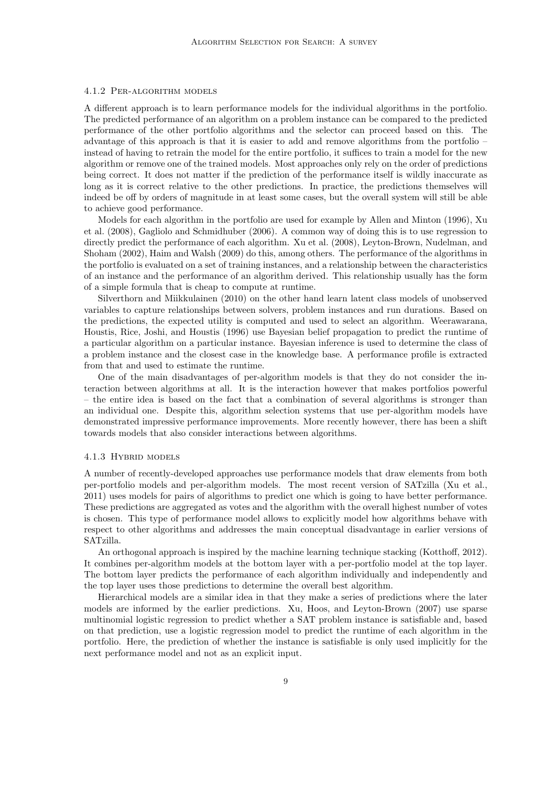#### 4.1.2 Per-algorithm models

A different approach is to learn performance models for the individual algorithms in the portfolio. The predicted performance of an algorithm on a problem instance can be compared to the predicted performance of the other portfolio algorithms and the selector can proceed based on this. The advantage of this approach is that it is easier to add and remove algorithms from the portfolio – instead of having to retrain the model for the entire portfolio, it suffices to train a model for the new algorithm or remove one of the trained models. Most approaches only rely on the order of predictions being correct. It does not matter if the prediction of the performance itself is wildly inaccurate as long as it is correct relative to the other predictions. In practice, the predictions themselves will indeed be off by orders of magnitude in at least some cases, but the overall system will still be able to achieve good performance.

Models for each algorithm in the portfolio are used for example by Allen and Minton (1996), Xu et al. (2008), Gagliolo and Schmidhuber (2006). A common way of doing this is to use regression to directly predict the performance of each algorithm. Xu et al. (2008), Leyton-Brown, Nudelman, and Shoham (2002), Haim and Walsh (2009) do this, among others. The performance of the algorithms in the portfolio is evaluated on a set of training instances, and a relationship between the characteristics of an instance and the performance of an algorithm derived. This relationship usually has the form of a simple formula that is cheap to compute at runtime.

Silverthorn and Miikkulainen (2010) on the other hand learn latent class models of unobserved variables to capture relationships between solvers, problem instances and run durations. Based on the predictions, the expected utility is computed and used to select an algorithm. Weerawarana, Houstis, Rice, Joshi, and Houstis (1996) use Bayesian belief propagation to predict the runtime of a particular algorithm on a particular instance. Bayesian inference is used to determine the class of a problem instance and the closest case in the knowledge base. A performance profile is extracted from that and used to estimate the runtime.

One of the main disadvantages of per-algorithm models is that they do not consider the interaction between algorithms at all. It is the interaction however that makes portfolios powerful – the entire idea is based on the fact that a combination of several algorithms is stronger than an individual one. Despite this, algorithm selection systems that use per-algorithm models have demonstrated impressive performance improvements. More recently however, there has been a shift towards models that also consider interactions between algorithms.

#### 4.1.3 Hybrid models

A number of recently-developed approaches use performance models that draw elements from both per-portfolio models and per-algorithm models. The most recent version of SATzilla (Xu et al., 2011) uses models for pairs of algorithms to predict one which is going to have better performance. These predictions are aggregated as votes and the algorithm with the overall highest number of votes is chosen. This type of performance model allows to explicitly model how algorithms behave with respect to other algorithms and addresses the main conceptual disadvantage in earlier versions of SATzilla.

An orthogonal approach is inspired by the machine learning technique stacking (Kotthoff, 2012). It combines per-algorithm models at the bottom layer with a per-portfolio model at the top layer. The bottom layer predicts the performance of each algorithm individually and independently and the top layer uses those predictions to determine the overall best algorithm.

Hierarchical models are a similar idea in that they make a series of predictions where the later models are informed by the earlier predictions. Xu, Hoos, and Leyton-Brown (2007) use sparse multinomial logistic regression to predict whether a SAT problem instance is satisfiable and, based on that prediction, use a logistic regression model to predict the runtime of each algorithm in the portfolio. Here, the prediction of whether the instance is satisfiable is only used implicitly for the next performance model and not as an explicit input.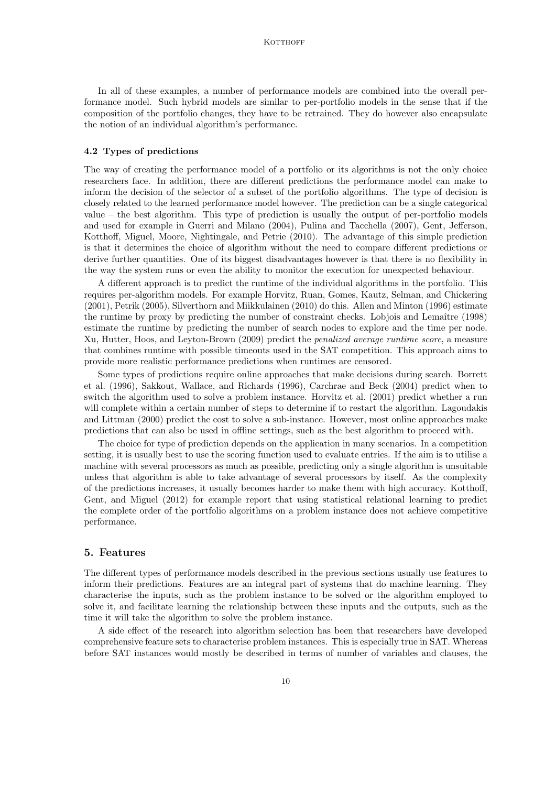In all of these examples, a number of performance models are combined into the overall performance model. Such hybrid models are similar to per-portfolio models in the sense that if the composition of the portfolio changes, they have to be retrained. They do however also encapsulate the notion of an individual algorithm's performance.

## **4.2 Types of predictions**

The way of creating the performance model of a portfolio or its algorithms is not the only choice researchers face. In addition, there are different predictions the performance model can make to inform the decision of the selector of a subset of the portfolio algorithms. The type of decision is closely related to the learned performance model however. The prediction can be a single categorical value – the best algorithm. This type of prediction is usually the output of per-portfolio models and used for example in Guerri and Milano (2004), Pulina and Tacchella (2007), Gent, Jefferson, Kotthoff, Miguel, Moore, Nightingale, and Petrie (2010). The advantage of this simple prediction is that it determines the choice of algorithm without the need to compare different predictions or derive further quantities. One of its biggest disadvantages however is that there is no flexibility in the way the system runs or even the ability to monitor the execution for unexpected behaviour.

A different approach is to predict the runtime of the individual algorithms in the portfolio. This requires per-algorithm models. For example Horvitz, Ruan, Gomes, Kautz, Selman, and Chickering (2001), Petrik (2005), Silverthorn and Miikkulainen (2010) do this. Allen and Minton (1996) estimate the runtime by proxy by predicting the number of constraint checks. Lobjois and Lemaître (1998) estimate the runtime by predicting the number of search nodes to explore and the time per node. Xu, Hutter, Hoos, and Leyton-Brown (2009) predict the *penalized average runtime score*, a measure that combines runtime with possible timeouts used in the SAT competition. This approach aims to provide more realistic performance predictions when runtimes are censored.

Some types of predictions require online approaches that make decisions during search. Borrett et al. (1996), Sakkout, Wallace, and Richards (1996), Carchrae and Beck (2004) predict when to switch the algorithm used to solve a problem instance. Horvitz et al. (2001) predict whether a run will complete within a certain number of steps to determine if to restart the algorithm. Lagoudakis and Littman (2000) predict the cost to solve a sub-instance. However, most online approaches make predictions that can also be used in offline settings, such as the best algorithm to proceed with.

The choice for type of prediction depends on the application in many scenarios. In a competition setting, it is usually best to use the scoring function used to evaluate entries. If the aim is to utilise a machine with several processors as much as possible, predicting only a single algorithm is unsuitable unless that algorithm is able to take advantage of several processors by itself. As the complexity of the predictions increases, it usually becomes harder to make them with high accuracy. Kotthoff, Gent, and Miguel (2012) for example report that using statistical relational learning to predict the complete order of the portfolio algorithms on a problem instance does not achieve competitive performance.

## **5. Features**

The different types of performance models described in the previous sections usually use features to inform their predictions. Features are an integral part of systems that do machine learning. They characterise the inputs, such as the problem instance to be solved or the algorithm employed to solve it, and facilitate learning the relationship between these inputs and the outputs, such as the time it will take the algorithm to solve the problem instance.

A side effect of the research into algorithm selection has been that researchers have developed comprehensive feature sets to characterise problem instances. This is especially true in SAT. Whereas before SAT instances would mostly be described in terms of number of variables and clauses, the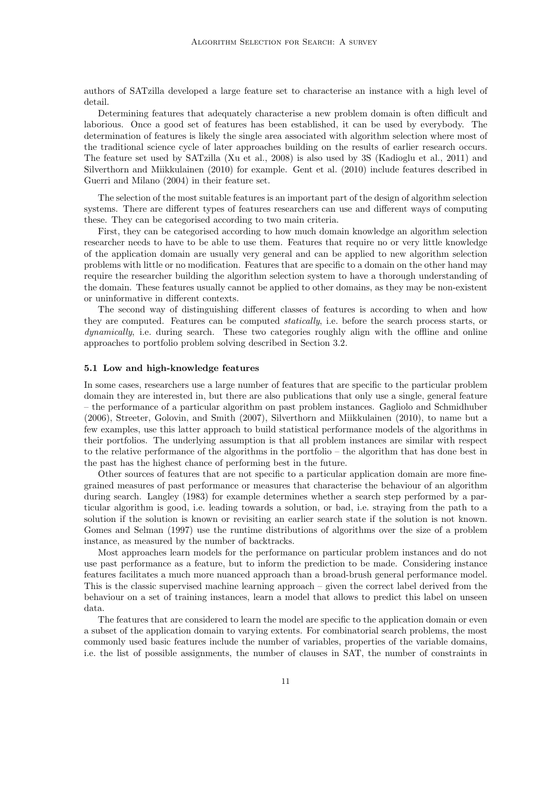authors of SATzilla developed a large feature set to characterise an instance with a high level of detail.

Determining features that adequately characterise a new problem domain is often difficult and laborious. Once a good set of features has been established, it can be used by everybody. The determination of features is likely the single area associated with algorithm selection where most of the traditional science cycle of later approaches building on the results of earlier research occurs. The feature set used by SATzilla (Xu et al., 2008) is also used by 3S (Kadioglu et al., 2011) and Silverthorn and Miikkulainen (2010) for example. Gent et al. (2010) include features described in Guerri and Milano (2004) in their feature set.

The selection of the most suitable features is an important part of the design of algorithm selection systems. There are different types of features researchers can use and different ways of computing these. They can be categorised according to two main criteria.

First, they can be categorised according to how much domain knowledge an algorithm selection researcher needs to have to be able to use them. Features that require no or very little knowledge of the application domain are usually very general and can be applied to new algorithm selection problems with little or no modification. Features that are specific to a domain on the other hand may require the researcher building the algorithm selection system to have a thorough understanding of the domain. These features usually cannot be applied to other domains, as they may be non-existent or uninformative in different contexts.

The second way of distinguishing different classes of features is according to when and how they are computed. Features can be computed *statically*, i.e. before the search process starts, or *dynamically*, i.e. during search. These two categories roughly align with the offline and online approaches to portfolio problem solving described in Section 3.2.

#### **5.1 Low and high-knowledge features**

In some cases, researchers use a large number of features that are specific to the particular problem domain they are interested in, but there are also publications that only use a single, general feature – the performance of a particular algorithm on past problem instances. Gagliolo and Schmidhuber (2006), Streeter, Golovin, and Smith (2007), Silverthorn and Miikkulainen (2010), to name but a few examples, use this latter approach to build statistical performance models of the algorithms in their portfolios. The underlying assumption is that all problem instances are similar with respect to the relative performance of the algorithms in the portfolio – the algorithm that has done best in the past has the highest chance of performing best in the future.

Other sources of features that are not specific to a particular application domain are more finegrained measures of past performance or measures that characterise the behaviour of an algorithm during search. Langley (1983) for example determines whether a search step performed by a particular algorithm is good, i.e. leading towards a solution, or bad, i.e. straying from the path to a solution if the solution is known or revisiting an earlier search state if the solution is not known. Gomes and Selman (1997) use the runtime distributions of algorithms over the size of a problem instance, as measured by the number of backtracks.

Most approaches learn models for the performance on particular problem instances and do not use past performance as a feature, but to inform the prediction to be made. Considering instance features facilitates a much more nuanced approach than a broad-brush general performance model. This is the classic supervised machine learning approach – given the correct label derived from the behaviour on a set of training instances, learn a model that allows to predict this label on unseen data.

The features that are considered to learn the model are specific to the application domain or even a subset of the application domain to varying extents. For combinatorial search problems, the most commonly used basic features include the number of variables, properties of the variable domains, i.e. the list of possible assignments, the number of clauses in SAT, the number of constraints in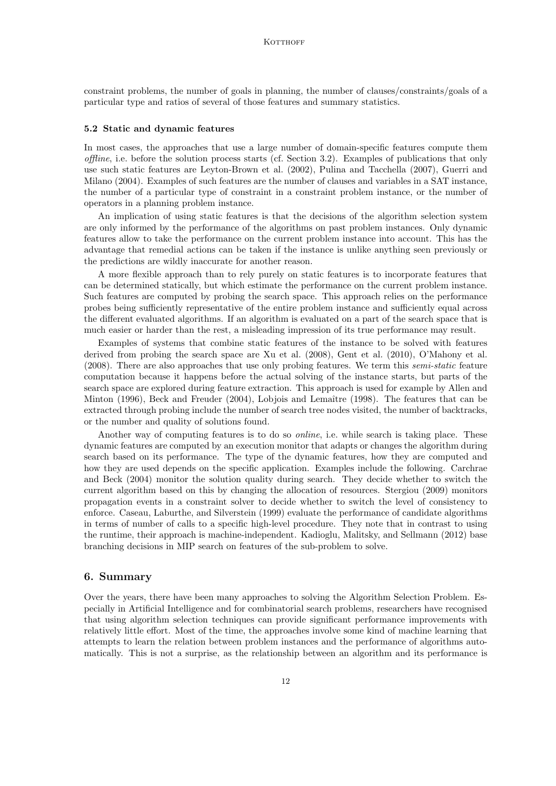constraint problems, the number of goals in planning, the number of clauses/constraints/goals of a particular type and ratios of several of those features and summary statistics.

### **5.2 Static and dynamic features**

In most cases, the approaches that use a large number of domain-specific features compute them *offline*, i.e. before the solution process starts (cf. Section 3.2). Examples of publications that only use such static features are Leyton-Brown et al. (2002), Pulina and Tacchella (2007), Guerri and Milano (2004). Examples of such features are the number of clauses and variables in a SAT instance, the number of a particular type of constraint in a constraint problem instance, or the number of operators in a planning problem instance.

An implication of using static features is that the decisions of the algorithm selection system are only informed by the performance of the algorithms on past problem instances. Only dynamic features allow to take the performance on the current problem instance into account. This has the advantage that remedial actions can be taken if the instance is unlike anything seen previously or the predictions are wildly inaccurate for another reason.

A more flexible approach than to rely purely on static features is to incorporate features that can be determined statically, but which estimate the performance on the current problem instance. Such features are computed by probing the search space. This approach relies on the performance probes being sufficiently representative of the entire problem instance and sufficiently equal across the different evaluated algorithms. If an algorithm is evaluated on a part of the search space that is much easier or harder than the rest, a misleading impression of its true performance may result.

Examples of systems that combine static features of the instance to be solved with features derived from probing the search space are Xu et al. (2008), Gent et al. (2010), O'Mahony et al. (2008). There are also approaches that use only probing features. We term this *semi-static* feature computation because it happens before the actual solving of the instance starts, but parts of the search space are explored during feature extraction. This approach is used for example by Allen and Minton (1996), Beck and Freuder (2004), Lobjois and Lemaître (1998). The features that can be extracted through probing include the number of search tree nodes visited, the number of backtracks, or the number and quality of solutions found.

Another way of computing features is to do so *online*, i.e. while search is taking place. These dynamic features are computed by an execution monitor that adapts or changes the algorithm during search based on its performance. The type of the dynamic features, how they are computed and how they are used depends on the specific application. Examples include the following. Carchrae and Beck (2004) monitor the solution quality during search. They decide whether to switch the current algorithm based on this by changing the allocation of resources. Stergiou (2009) monitors propagation events in a constraint solver to decide whether to switch the level of consistency to enforce. Caseau, Laburthe, and Silverstein (1999) evaluate the performance of candidate algorithms in terms of number of calls to a specific high-level procedure. They note that in contrast to using the runtime, their approach is machine-independent. Kadioglu, Malitsky, and Sellmann (2012) base branching decisions in MIP search on features of the sub-problem to solve.

## **6. Summary**

Over the years, there have been many approaches to solving the Algorithm Selection Problem. Especially in Artificial Intelligence and for combinatorial search problems, researchers have recognised that using algorithm selection techniques can provide significant performance improvements with relatively little effort. Most of the time, the approaches involve some kind of machine learning that attempts to learn the relation between problem instances and the performance of algorithms automatically. This is not a surprise, as the relationship between an algorithm and its performance is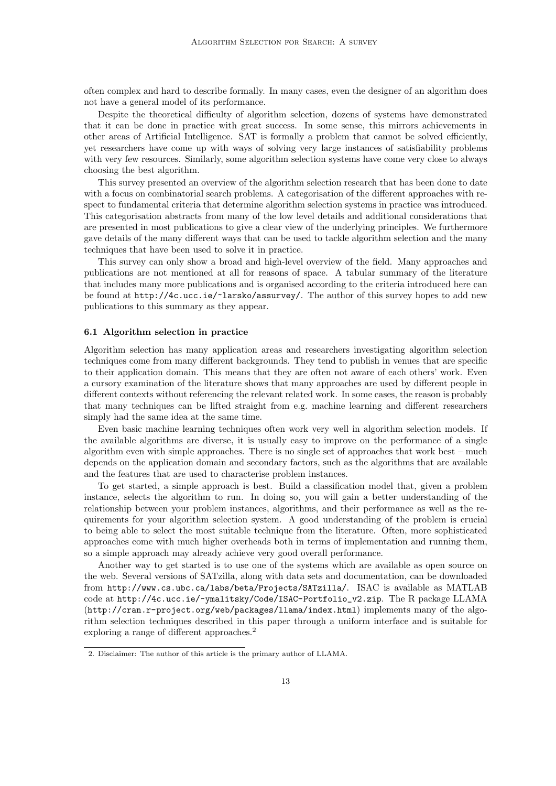often complex and hard to describe formally. In many cases, even the designer of an algorithm does not have a general model of its performance.

Despite the theoretical difficulty of algorithm selection, dozens of systems have demonstrated that it can be done in practice with great success. In some sense, this mirrors achievements in other areas of Artificial Intelligence. SAT is formally a problem that cannot be solved efficiently, yet researchers have come up with ways of solving very large instances of satisfiability problems with very few resources. Similarly, some algorithm selection systems have come very close to always choosing the best algorithm.

This survey presented an overview of the algorithm selection research that has been done to date with a focus on combinatorial search problems. A categorisation of the different approaches with respect to fundamental criteria that determine algorithm selection systems in practice was introduced. This categorisation abstracts from many of the low level details and additional considerations that are presented in most publications to give a clear view of the underlying principles. We furthermore gave details of the many different ways that can be used to tackle algorithm selection and the many techniques that have been used to solve it in practice.

This survey can only show a broad and high-level overview of the field. Many approaches and publications are not mentioned at all for reasons of space. A tabular summary of the literature that includes many more publications and is organised according to the criteria introduced here can be found at http://4c.ucc.ie/~larsko/assurvey/. The author of this survey hopes to add new publications to this summary as they appear.

## **6.1 Algorithm selection in practice**

Algorithm selection has many application areas and researchers investigating algorithm selection techniques come from many different backgrounds. They tend to publish in venues that are specific to their application domain. This means that they are often not aware of each others' work. Even a cursory examination of the literature shows that many approaches are used by different people in different contexts without referencing the relevant related work. In some cases, the reason is probably that many techniques can be lifted straight from e.g. machine learning and different researchers simply had the same idea at the same time.

Even basic machine learning techniques often work very well in algorithm selection models. If the available algorithms are diverse, it is usually easy to improve on the performance of a single algorithm even with simple approaches. There is no single set of approaches that work best – much depends on the application domain and secondary factors, such as the algorithms that are available and the features that are used to characterise problem instances.

To get started, a simple approach is best. Build a classification model that, given a problem instance, selects the algorithm to run. In doing so, you will gain a better understanding of the relationship between your problem instances, algorithms, and their performance as well as the requirements for your algorithm selection system. A good understanding of the problem is crucial to being able to select the most suitable technique from the literature. Often, more sophisticated approaches come with much higher overheads both in terms of implementation and running them, so a simple approach may already achieve very good overall performance.

Another way to get started is to use one of the systems which are available as open source on the web. Several versions of SATzilla, along with data sets and documentation, can be downloaded from http://www.cs.ubc.ca/labs/beta/Projects/SATzilla/. ISAC is available as MATLAB code at http://4c.ucc.ie/~ymalitsky/Code/ISAC-Portfolio\_v2.zip. The R package LLAMA (http://cran.r-project.org/web/packages/llama/index.html) implements many of the algorithm selection techniques described in this paper through a uniform interface and is suitable for exploring a range of different approaches.<sup>2</sup>

<sup>2.</sup> Disclaimer: The author of this article is the primary author of LLAMA.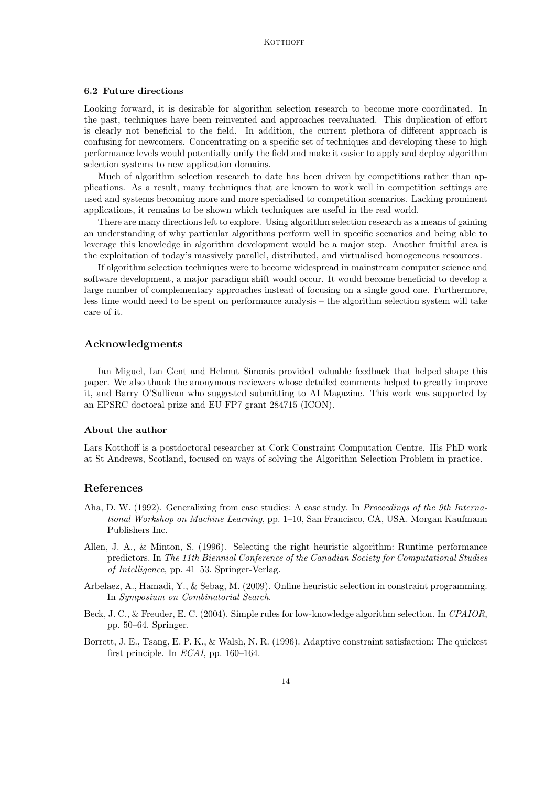#### **6.2 Future directions**

Looking forward, it is desirable for algorithm selection research to become more coordinated. In the past, techniques have been reinvented and approaches reevaluated. This duplication of effort is clearly not beneficial to the field. In addition, the current plethora of different approach is confusing for newcomers. Concentrating on a specific set of techniques and developing these to high performance levels would potentially unify the field and make it easier to apply and deploy algorithm selection systems to new application domains.

Much of algorithm selection research to date has been driven by competitions rather than applications. As a result, many techniques that are known to work well in competition settings are used and systems becoming more and more specialised to competition scenarios. Lacking prominent applications, it remains to be shown which techniques are useful in the real world.

There are many directions left to explore. Using algorithm selection research as a means of gaining an understanding of why particular algorithms perform well in specific scenarios and being able to leverage this knowledge in algorithm development would be a major step. Another fruitful area is the exploitation of today's massively parallel, distributed, and virtualised homogeneous resources.

If algorithm selection techniques were to become widespread in mainstream computer science and software development, a major paradigm shift would occur. It would become beneficial to develop a large number of complementary approaches instead of focusing on a single good one. Furthermore, less time would need to be spent on performance analysis – the algorithm selection system will take care of it.

## **Acknowledgments**

Ian Miguel, Ian Gent and Helmut Simonis provided valuable feedback that helped shape this paper. We also thank the anonymous reviewers whose detailed comments helped to greatly improve it, and Barry O'Sullivan who suggested submitting to AI Magazine. This work was supported by an EPSRC doctoral prize and EU FP7 grant 284715 (ICON).

## **About the author**

Lars Kotthoff is a postdoctoral researcher at Cork Constraint Computation Centre. His PhD work at St Andrews, Scotland, focused on ways of solving the Algorithm Selection Problem in practice.

## **References**

- Aha, D. W. (1992). Generalizing from case studies: A case study. In *Proceedings of the 9th International Workshop on Machine Learning*, pp. 1–10, San Francisco, CA, USA. Morgan Kaufmann Publishers Inc.
- Allen, J. A., & Minton, S. (1996). Selecting the right heuristic algorithm: Runtime performance predictors. In *The 11th Biennial Conference of the Canadian Society for Computational Studies of Intelligence*, pp. 41–53. Springer-Verlag.
- Arbelaez, A., Hamadi, Y., & Sebag, M. (2009). Online heuristic selection in constraint programming. In *Symposium on Combinatorial Search*.
- Beck, J. C., & Freuder, E. C. (2004). Simple rules for low-knowledge algorithm selection. In *CPAIOR*, pp. 50–64. Springer.
- Borrett, J. E., Tsang, E. P. K., & Walsh, N. R. (1996). Adaptive constraint satisfaction: The quickest first principle. In *ECAI*, pp. 160–164.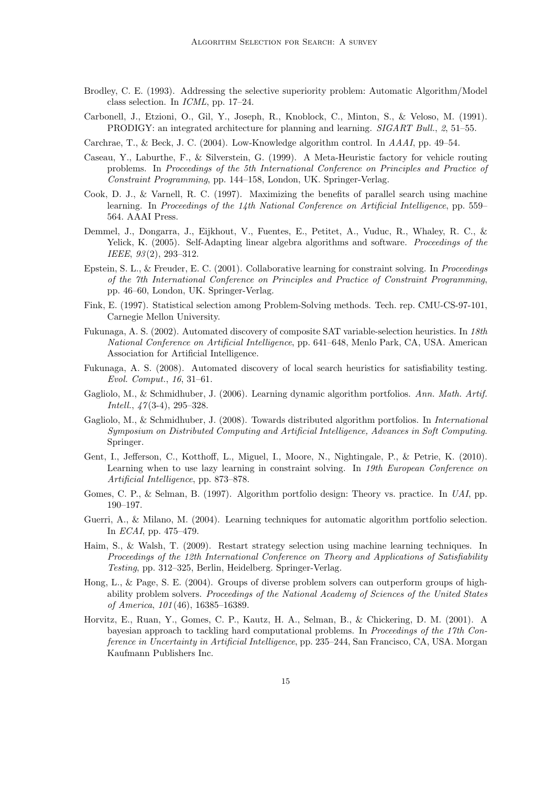- Brodley, C. E. (1993). Addressing the selective superiority problem: Automatic Algorithm/Model class selection. In *ICML*, pp. 17–24.
- Carbonell, J., Etzioni, O., Gil, Y., Joseph, R., Knoblock, C., Minton, S., & Veloso, M. (1991). PRODIGY: an integrated architecture for planning and learning. *SIGART Bull.*, *2*, 51–55.
- Carchrae, T., & Beck, J. C. (2004). Low-Knowledge algorithm control. In *AAAI*, pp. 49–54.
- Caseau, Y., Laburthe, F., & Silverstein, G. (1999). A Meta-Heuristic factory for vehicle routing problems. In *Proceedings of the 5th International Conference on Principles and Practice of Constraint Programming*, pp. 144–158, London, UK. Springer-Verlag.
- Cook, D. J., & Varnell, R. C. (1997). Maximizing the benefits of parallel search using machine learning. In *Proceedings of the 14th National Conference on Artificial Intelligence*, pp. 559– 564. AAAI Press.
- Demmel, J., Dongarra, J., Eijkhout, V., Fuentes, E., Petitet, A., Vuduc, R., Whaley, R. C., & Yelick, K. (2005). Self-Adapting linear algebra algorithms and software. *Proceedings of the IEEE*, *93* (2), 293–312.
- Epstein, S. L., & Freuder, E. C. (2001). Collaborative learning for constraint solving. In *Proceedings of the 7th International Conference on Principles and Practice of Constraint Programming*, pp. 46–60, London, UK. Springer-Verlag.
- Fink, E. (1997). Statistical selection among Problem-Solving methods. Tech. rep. CMU-CS-97-101, Carnegie Mellon University.
- Fukunaga, A. S. (2002). Automated discovery of composite SAT variable-selection heuristics. In *18th National Conference on Artificial Intelligence*, pp. 641–648, Menlo Park, CA, USA. American Association for Artificial Intelligence.
- Fukunaga, A. S. (2008). Automated discovery of local search heuristics for satisfiability testing. *Evol. Comput.*, *16*, 31–61.
- Gagliolo, M., & Schmidhuber, J. (2006). Learning dynamic algorithm portfolios. *Ann. Math. Artif. Intell.*, *47* (3-4), 295–328.
- Gagliolo, M., & Schmidhuber, J. (2008). Towards distributed algorithm portfolios. In *International Symposium on Distributed Computing and Artificial Intelligence, Advances in Soft Computing*. Springer.
- Gent, I., Jefferson, C., Kotthoff, L., Miguel, I., Moore, N., Nightingale, P., & Petrie, K. (2010). Learning when to use lazy learning in constraint solving. In *19th European Conference on Artificial Intelligence*, pp. 873–878.
- Gomes, C. P., & Selman, B. (1997). Algorithm portfolio design: Theory vs. practice. In *UAI*, pp. 190–197.
- Guerri, A., & Milano, M. (2004). Learning techniques for automatic algorithm portfolio selection. In *ECAI*, pp. 475–479.
- Haim, S., & Walsh, T. (2009). Restart strategy selection using machine learning techniques. In *Proceedings of the 12th International Conference on Theory and Applications of Satisfiability Testing*, pp. 312–325, Berlin, Heidelberg. Springer-Verlag.
- Hong, L., & Page, S. E. (2004). Groups of diverse problem solvers can outperform groups of highability problem solvers. *Proceedings of the National Academy of Sciences of the United States of America*, *101* (46), 16385–16389.
- Horvitz, E., Ruan, Y., Gomes, C. P., Kautz, H. A., Selman, B., & Chickering, D. M. (2001). A bayesian approach to tackling hard computational problems. In *Proceedings of the 17th Conference in Uncertainty in Artificial Intelligence*, pp. 235–244, San Francisco, CA, USA. Morgan Kaufmann Publishers Inc.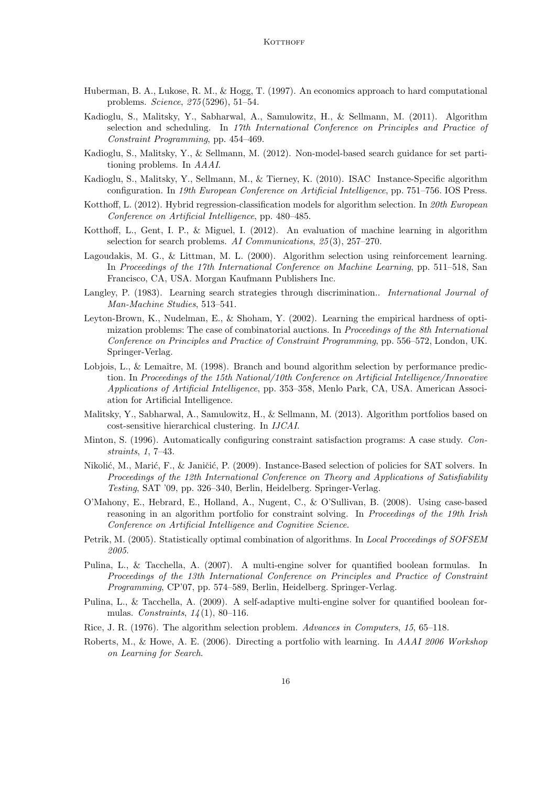- Huberman, B. A., Lukose, R. M., & Hogg, T. (1997). An economics approach to hard computational problems. *Science*, *275* (5296), 51–54.
- Kadioglu, S., Malitsky, Y., Sabharwal, A., Samulowitz, H., & Sellmann, M. (2011). Algorithm selection and scheduling. In *17th International Conference on Principles and Practice of Constraint Programming*, pp. 454–469.
- Kadioglu, S., Malitsky, Y., & Sellmann, M. (2012). Non-model-based search guidance for set partitioning problems. In *AAAI*.
- Kadioglu, S., Malitsky, Y., Sellmann, M., & Tierney, K. (2010). ISAC Instance-Specific algorithm configuration. In *19th European Conference on Artificial Intelligence*, pp. 751–756. IOS Press.
- Kotthoff, L. (2012). Hybrid regression-classification models for algorithm selection. In *20th European Conference on Artificial Intelligence*, pp. 480–485.
- Kotthoff, L., Gent, I. P., & Miguel, I. (2012). An evaluation of machine learning in algorithm selection for search problems. *AI Communications*, *25* (3), 257–270.
- Lagoudakis, M. G., & Littman, M. L. (2000). Algorithm selection using reinforcement learning. In *Proceedings of the 17th International Conference on Machine Learning*, pp. 511–518, San Francisco, CA, USA. Morgan Kaufmann Publishers Inc.
- Langley, P. (1983). Learning search strategies through discrimination.. *International Journal of Man-Machine Studies*, 513–541.
- Leyton-Brown, K., Nudelman, E., & Shoham, Y. (2002). Learning the empirical hardness of optimization problems: The case of combinatorial auctions. In *Proceedings of the 8th International Conference on Principles and Practice of Constraint Programming*, pp. 556–572, London, UK. Springer-Verlag.
- Lobjois, L., & Lemaître, M. (1998). Branch and bound algorithm selection by performance prediction. In *Proceedings of the 15th National/10th Conference on Artificial Intelligence/Innovative Applications of Artificial Intelligence*, pp. 353–358, Menlo Park, CA, USA. American Association for Artificial Intelligence.
- Malitsky, Y., Sabharwal, A., Samulowitz, H., & Sellmann, M. (2013). Algorithm portfolios based on cost-sensitive hierarchical clustering. In *IJCAI*.
- Minton, S. (1996). Automatically configuring constraint satisfaction programs: A case study. *Constraints*, *1*, 7–43.
- Nikolić, M., Marić, F., & Janičić, P. (2009). Instance-Based selection of policies for SAT solvers. In *Proceedings of the 12th International Conference on Theory and Applications of Satisfiability Testing*, SAT '09, pp. 326–340, Berlin, Heidelberg. Springer-Verlag.
- O'Mahony, E., Hebrard, E., Holland, A., Nugent, C., & O'Sullivan, B. (2008). Using case-based reasoning in an algorithm portfolio for constraint solving. In *Proceedings of the 19th Irish Conference on Artificial Intelligence and Cognitive Science*.
- Petrik, M. (2005). Statistically optimal combination of algorithms. In *Local Proceedings of SOFSEM 2005*.
- Pulina, L., & Tacchella, A. (2007). A multi-engine solver for quantified boolean formulas. In *Proceedings of the 13th International Conference on Principles and Practice of Constraint Programming*, CP'07, pp. 574–589, Berlin, Heidelberg. Springer-Verlag.
- Pulina, L., & Tacchella, A. (2009). A self-adaptive multi-engine solver for quantified boolean formulas. *Constraints*, *14* (1), 80–116.
- Rice, J. R. (1976). The algorithm selection problem. *Advances in Computers*, *15*, 65–118.
- Roberts, M., & Howe, A. E. (2006). Directing a portfolio with learning. In *AAAI 2006 Workshop on Learning for Search*.